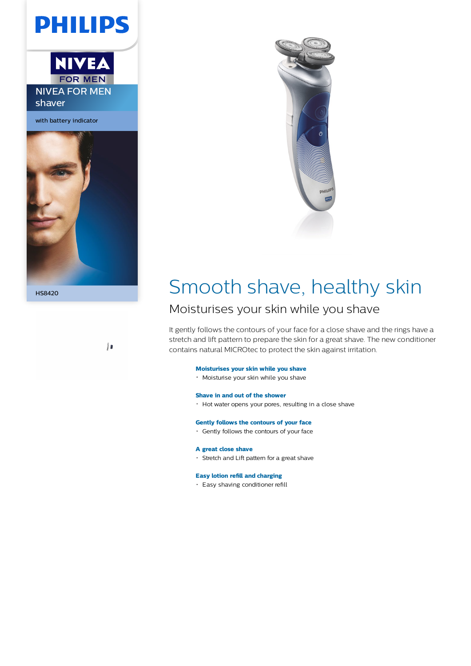**PHILIPS** 



with battery indicator







# HS8420 Smooth shave, healthy skin

## Moisturises your skin while you shave

It gently follows the contours of your face for a close shave and the rings have a stretch and lift pattern to prepare the skin for a great shave. The new conditioner contains natural MICROtec to protect the skin against irritation.

### **Moisturises your skin while you shave**

Moisturise your skin while you shave

#### **Shave in and out of the shower**

Hot water opens your pores, resulting in a close shave

#### **Gently follows the contours of your face**

Gently follows the contours of your face

#### **A great close shave**

Stretch and Lift pattern for a great shave

#### **Easy lotion refill and charging**

Easy shaving conditioner refill